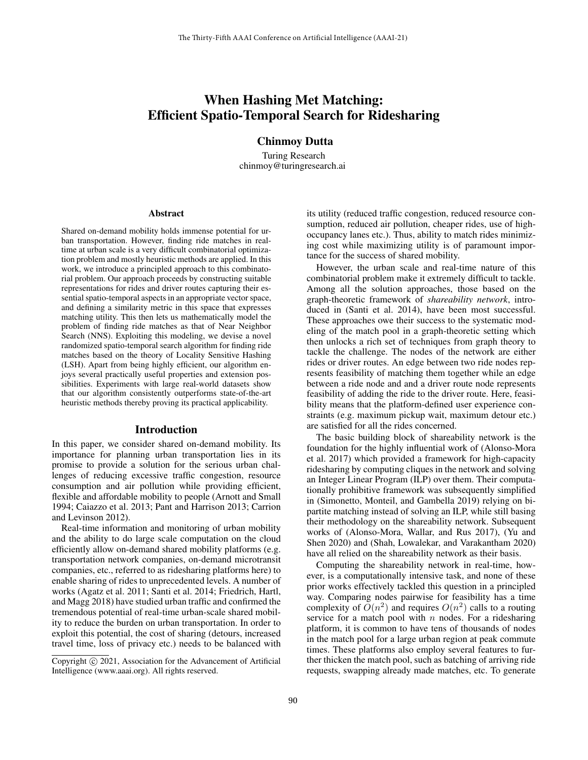# When Hashing Met Matching: Efficient Spatio-Temporal Search for Ridesharing

Chinmoy Dutta

Turing Research chinmoy@turingresearch.ai

#### Abstract

Shared on-demand mobility holds immense potential for urban transportation. However, finding ride matches in realtime at urban scale is a very difficult combinatorial optimization problem and mostly heuristic methods are applied. In this work, we introduce a principled approach to this combinatorial problem. Our approach proceeds by constructing suitable representations for rides and driver routes capturing their essential spatio-temporal aspects in an appropriate vector space, and defining a similarity metric in this space that expresses matching utility. This then lets us mathematically model the problem of finding ride matches as that of Near Neighbor Search (NNS). Exploiting this modeling, we devise a novel randomized spatio-temporal search algorithm for finding ride matches based on the theory of Locality Sensitive Hashing (LSH). Apart from being highly efficient, our algorithm enjoys several practically useful properties and extension possibilities. Experiments with large real-world datasets show that our algorithm consistently outperforms state-of-the-art heuristic methods thereby proving its practical applicability.

#### Introduction

In this paper, we consider shared on-demand mobility. Its importance for planning urban transportation lies in its promise to provide a solution for the serious urban challenges of reducing excessive traffic congestion, resource consumption and air pollution while providing efficient, flexible and affordable mobility to people (Arnott and Small 1994; Caiazzo et al. 2013; Pant and Harrison 2013; Carrion and Levinson 2012).

Real-time information and monitoring of urban mobility and the ability to do large scale computation on the cloud efficiently allow on-demand shared mobility platforms (e.g. transportation network companies, on-demand microtransit companies, etc., referred to as ridesharing platforms here) to enable sharing of rides to unprecedented levels. A number of works (Agatz et al. 2011; Santi et al. 2014; Friedrich, Hartl, and Magg 2018) have studied urban traffic and confirmed the tremendous potential of real-time urban-scale shared mobility to reduce the burden on urban transportation. In order to exploit this potential, the cost of sharing (detours, increased travel time, loss of privacy etc.) needs to be balanced with

its utility (reduced traffic congestion, reduced resource consumption, reduced air pollution, cheaper rides, use of highoccupancy lanes etc.). Thus, ability to match rides minimizing cost while maximizing utility is of paramount importance for the success of shared mobility.

However, the urban scale and real-time nature of this combinatorial problem make it extremely difficult to tackle. Among all the solution approaches, those based on the graph-theoretic framework of *shareability network*, introduced in (Santi et al. 2014), have been most successful. These approaches owe their success to the systematic modeling of the match pool in a graph-theoretic setting which then unlocks a rich set of techniques from graph theory to tackle the challenge. The nodes of the network are either rides or driver routes. An edge between two ride nodes represents feasibility of matching them together while an edge between a ride node and and a driver route node represents feasibility of adding the ride to the driver route. Here, feasibility means that the platform-defined user experience constraints (e.g. maximum pickup wait, maximum detour etc.) are satisfied for all the rides concerned.

The basic building block of shareability network is the foundation for the highly influential work of (Alonso-Mora et al. 2017) which provided a framework for high-capacity ridesharing by computing cliques in the network and solving an Integer Linear Program (ILP) over them. Their computationally prohibitive framework was subsequently simplified in (Simonetto, Monteil, and Gambella 2019) relying on bipartite matching instead of solving an ILP, while still basing their methodology on the shareability network. Subsequent works of (Alonso-Mora, Wallar, and Rus 2017), (Yu and Shen 2020) and (Shah, Lowalekar, and Varakantham 2020) have all relied on the shareability network as their basis.

Computing the shareability network in real-time, however, is a computationally intensive task, and none of these prior works effectively tackled this question in a principled way. Comparing nodes pairwise for feasibility has a time complexity of  $O(n^2)$  and requires  $O(n^2)$  calls to a routing service for a match pool with  $n$  nodes. For a ridesharing platform, it is common to have tens of thousands of nodes in the match pool for a large urban region at peak commute times. These platforms also employ several features to further thicken the match pool, such as batching of arriving ride requests, swapping already made matches, etc. To generate

Copyright (c) 2021, Association for the Advancement of Artificial Intelligence (www.aaai.org). All rights reserved.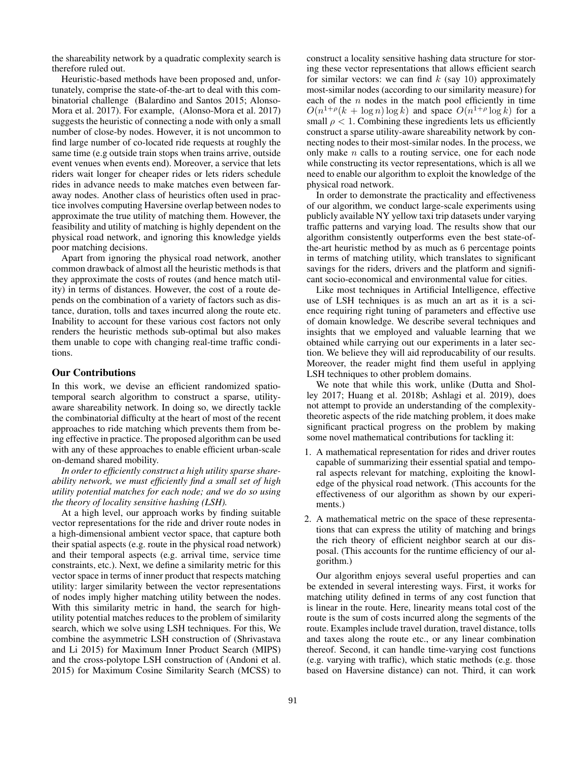the shareability network by a quadratic complexity search is therefore ruled out.

Heuristic-based methods have been proposed and, unfortunately, comprise the state-of-the-art to deal with this combinatorial challenge (Balardino and Santos 2015; Alonso-Mora et al. 2017). For example, (Alonso-Mora et al. 2017) suggests the heuristic of connecting a node with only a small number of close-by nodes. However, it is not uncommon to find large number of co-located ride requests at roughly the same time (e.g outside train stops when trains arrive, outside event venues when events end). Moreover, a service that lets riders wait longer for cheaper rides or lets riders schedule rides in advance needs to make matches even between faraway nodes. Another class of heuristics often used in practice involves computing Haversine overlap between nodes to approximate the true utility of matching them. However, the feasibility and utility of matching is highly dependent on the physical road network, and ignoring this knowledge yields poor matching decisions.

Apart from ignoring the physical road network, another common drawback of almost all the heuristic methods is that they approximate the costs of routes (and hence match utility) in terms of distances. However, the cost of a route depends on the combination of a variety of factors such as distance, duration, tolls and taxes incurred along the route etc. Inability to account for these various cost factors not only renders the heuristic methods sub-optimal but also makes them unable to cope with changing real-time traffic conditions.

## Our Contributions

In this work, we devise an efficient randomized spatiotemporal search algorithm to construct a sparse, utilityaware shareability network. In doing so, we directly tackle the combinatorial difficulty at the heart of most of the recent approaches to ride matching which prevents them from being effective in practice. The proposed algorithm can be used with any of these approaches to enable efficient urban-scale on-demand shared mobility.

*In order to efficiently construct a high utility sparse shareability network, we must efficiently find a small set of high utility potential matches for each node; and we do so using the theory of locality sensitive hashing (LSH).*

At a high level, our approach works by finding suitable vector representations for the ride and driver route nodes in a high-dimensional ambient vector space, that capture both their spatial aspects (e.g. route in the physical road network) and their temporal aspects (e.g. arrival time, service time constraints, etc.). Next, we define a similarity metric for this vector space in terms of inner product that respects matching utility: larger similarity between the vector representations of nodes imply higher matching utility between the nodes. With this similarity metric in hand, the search for highutility potential matches reduces to the problem of similarity search, which we solve using LSH techniques. For this, We combine the asymmetric LSH construction of (Shrivastava and Li 2015) for Maximum Inner Product Search (MIPS) and the cross-polytope LSH construction of (Andoni et al. 2015) for Maximum Cosine Similarity Search (MCSS) to construct a locality sensitive hashing data structure for storing these vector representations that allows efficient search for similar vectors: we can find  $k$  (say 10) approximately most-similar nodes (according to our similarity measure) for each of the  $n$  nodes in the match pool efficiently in time  $O(n^{1+\rho}(k + \log n) \log k)$  and space  $O(n^{1+\rho} \log k)$  for a small  $\rho < 1$ . Combining these ingredients lets us efficiently construct a sparse utility-aware shareability network by connecting nodes to their most-similar nodes. In the process, we only make  $n$  calls to a routing service, one for each node while constructing its vector representations, which is all we need to enable our algorithm to exploit the knowledge of the physical road network.

In order to demonstrate the practicality and effectiveness of our algorithm, we conduct large-scale experiments using publicly available NY yellow taxi trip datasets under varying traffic patterns and varying load. The results show that our algorithm consistently outperforms even the best state-ofthe-art heuristic method by as much as 6 percentage points in terms of matching utility, which translates to significant savings for the riders, drivers and the platform and significant socio-economical and environmental value for cities.

Like most techniques in Artificial Intelligence, effective use of LSH techniques is as much an art as it is a science requiring right tuning of parameters and effective use of domain knowledge. We describe several techniques and insights that we employed and valuable learning that we obtained while carrying out our experiments in a later section. We believe they will aid reproducability of our results. Moreover, the reader might find them useful in applying LSH techniques to other problem domains.

We note that while this work, unlike (Dutta and Sholley 2017; Huang et al. 2018b; Ashlagi et al. 2019), does not attempt to provide an understanding of the complexitytheoretic aspects of the ride matching problem, it does make significant practical progress on the problem by making some novel mathematical contributions for tackling it:

- 1. A mathematical representation for rides and driver routes capable of summarizing their essential spatial and temporal aspects relevant for matching, exploiting the knowledge of the physical road network. (This accounts for the effectiveness of our algorithm as shown by our experiments.)
- 2. A mathematical metric on the space of these representations that can express the utility of matching and brings the rich theory of efficient neighbor search at our disposal. (This accounts for the runtime efficiency of our algorithm.)

Our algorithm enjoys several useful properties and can be extended in several interesting ways. First, it works for matching utility defined in terms of any cost function that is linear in the route. Here, linearity means total cost of the route is the sum of costs incurred along the segments of the route. Examples include travel duration, travel distance, tolls and taxes along the route etc., or any linear combination thereof. Second, it can handle time-varying cost functions (e.g. varying with traffic), which static methods (e.g. those based on Haversine distance) can not. Third, it can work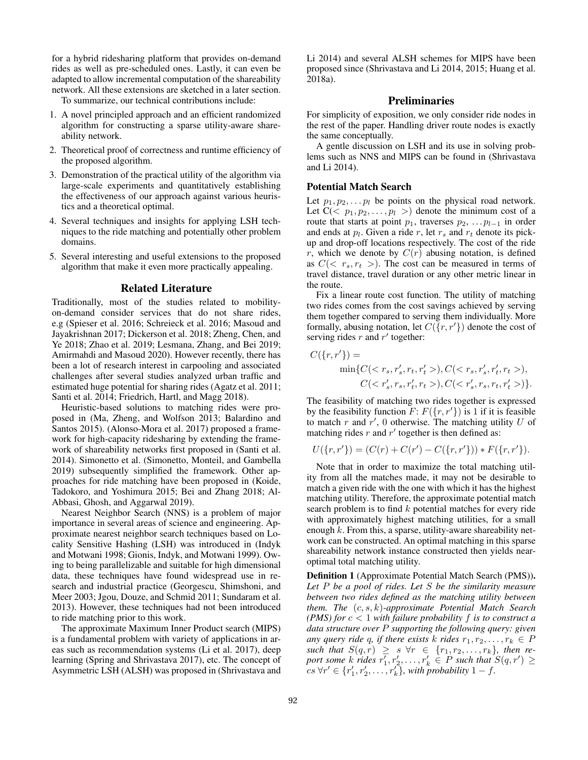for a hybrid ridesharing platform that provides on-demand rides as well as pre-scheduled ones. Lastly, it can even be adapted to allow incremental computation of the shareability network. All these extensions are sketched in a later section.

To summarize, our technical contributions include:

- 1. A novel principled approach and an efficient randomized algorithm for constructing a sparse utility-aware shareability network.
- 2. Theoretical proof of correctness and runtime efficiency of the proposed algorithm.
- 3. Demonstration of the practical utility of the algorithm via large-scale experiments and quantitatively establishing the effectiveness of our approach against various heuristics and a theoretical optimal.
- 4. Several techniques and insights for applying LSH techniques to the ride matching and potentially other problem domains.
- 5. Several interesting and useful extensions to the proposed algorithm that make it even more practically appealing.

#### Related Literature

Traditionally, most of the studies related to mobilityon-demand consider services that do not share rides, e.g (Spieser et al. 2016; Schreieck et al. 2016; Masoud and Jayakrishnan 2017; Dickerson et al. 2018; Zheng, Chen, and Ye 2018; Zhao et al. 2019; Lesmana, Zhang, and Bei 2019; Amirmahdi and Masoud 2020). However recently, there has been a lot of research interest in carpooling and associated challenges after several studies analyzed urban traffic and estimated huge potential for sharing rides (Agatz et al. 2011; Santi et al. 2014; Friedrich, Hartl, and Magg 2018).

Heuristic-based solutions to matching rides were proposed in (Ma, Zheng, and Wolfson 2013; Balardino and Santos 2015). (Alonso-Mora et al. 2017) proposed a framework for high-capacity ridesharing by extending the framework of shareability networks first proposed in (Santi et al. 2014). Simonetto et al. (Simonetto, Monteil, and Gambella 2019) subsequently simplified the framework. Other approaches for ride matching have been proposed in (Koide, Tadokoro, and Yoshimura 2015; Bei and Zhang 2018; Al-Abbasi, Ghosh, and Aggarwal 2019).

Nearest Neighbor Search (NNS) is a problem of major importance in several areas of science and engineering. Approximate nearest neighbor search techniques based on Locality Sensitive Hashing (LSH) was introduced in (Indyk and Motwani 1998; Gionis, Indyk, and Motwani 1999). Owing to being parallelizable and suitable for high dimensional data, these techniques have found widespread use in research and industrial practice (Georgescu, Shimshoni, and Meer 2003; Jgou, Douze, and Schmid 2011; Sundaram et al. 2013). However, these techniques had not been introduced to ride matching prior to this work.

The approximate Maximum Inner Product search (MIPS) is a fundamental problem with variety of applications in areas such as recommendation systems (Li et al. 2017), deep learning (Spring and Shrivastava 2017), etc. The concept of Asymmetric LSH (ALSH) was proposed in (Shrivastava and

Li 2014) and several ALSH schemes for MIPS have been proposed since (Shrivastava and Li 2014, 2015; Huang et al. 2018a).

## Preliminaries

For simplicity of exposition, we only consider ride nodes in the rest of the paper. Handling driver route nodes is exactly the same conceptually.

A gentle discussion on LSH and its use in solving problems such as NNS and MIPS can be found in (Shrivastava and Li 2014).

## Potential Match Search

Let  $p_1, p_2, \ldots, p_l$  be points on the physical road network. Let  $C\langle p_1, p_2, \ldots, p_l \rangle$  denote the minimum cost of a route that starts at point  $p_1$ , traverses  $p_2, \ldots p_{l-1}$  in order and ends at  $p_l$ . Given a ride r, let  $r_s$  and  $r_t$  denote its pickup and drop-off locations respectively. The cost of the ride r, which we denote by  $C(r)$  abusing notation, is defined as  $C( $r_s, r_t >$ ). The cost can be measured in terms of$ travel distance, travel duration or any other metric linear in the route.

Fix a linear route cost function. The utility of matching two rides comes from the cost savings achieved by serving them together compared to serving them individually. More formally, abusing notation, let  $C({r, r'})$  denote the cost of serving rides  $r$  and  $r'$  together:

$$
C({r, r'}) = \min\{C(), C(),
$$
  

$$
C(), C()\}.
$$

The feasibility of matching two rides together is expressed by the feasibility function  $F: F({r, r'})$  is 1 if it is feasible to match r and  $r'$ , 0 otherwise. The matching utility U of matching rides  $r$  and  $r'$  together is then defined as:

$$
U(\{r,r'\}) = (C(r) + C(r') - C(\{r,r'\})) * F(\{r,r'\}).
$$

Note that in order to maximize the total matching utility from all the matches made, it may not be desirable to match a given ride with the one with which it has the highest matching utility. Therefore, the approximate potential match search problem is to find  $k$  potential matches for every ride with approximately highest matching utilities, for a small enough  $k$ . From this, a sparse, utility-aware shareability network can be constructed. An optimal matching in this sparse shareability network instance constructed then yields nearoptimal total matching utility.

Definition 1 (Approximate Potential Match Search (PMS)). *Let* P *be a pool of rides. Let* S *be the similarity measure between two rides defined as the matching utility between them. The* (c, s, k)*-approximate Potential Match Search (PMS) for* c < 1 *with failure probability* f *is to construct a data structure over* P *supporting the following query: given any query ride* q, if there exists k rides  $r_1, r_2, \ldots, r_k \in P$ such that  $S(q,r) \geq s \forall r \in \{r_1, r_2, \ldots, r_k\}$ , then report some  $k$  *rides*  $r'_1, r'_2, \ldots, r'_k \in P$  *such that*  $S(q, r') \geq$  $\forall r' \in \{r'_1, r'_2, \ldots, r'_k\},\$  with probability  $1 - f$ .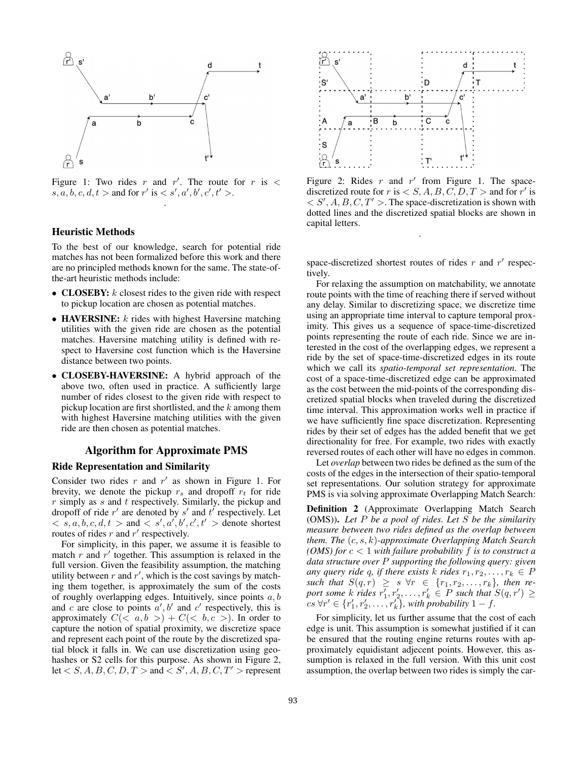

Figure 1: Two rides r and r'. The route for r is  $\lt$  $s, a, b, c, d, t >$  and for  $r'$  is  $\lt s', a', b', c', t' >$ . .

#### Heuristic Methods

To the best of our knowledge, search for potential ride matches has not been formalized before this work and there are no principled methods known for the same. The state-ofthe-art heuristic methods include:

- **CLOSEBY:**  $k$  closest rides to the given ride with respect to pickup location are chosen as potential matches.
- HAVERSINE:  $k$  rides with highest Haversine matching utilities with the given ride are chosen as the potential matches. Haversine matching utility is defined with respect to Haversine cost function which is the Haversine distance between two points.
- CLOSEBY-HAVERSINE: A hybrid approach of the above two, often used in practice. A sufficiently large number of rides closest to the given ride with respect to pickup location are first shortlisted, and the  $k$  among them with highest Haversine matching utilities with the given ride are then chosen as potential matches.

## Algorithm for Approximate PMS

#### Ride Representation and Similarity

Consider two rides  $r$  and  $r'$  as shown in Figure 1. For brevity, we denote the pickup  $r_s$  and dropoff  $r_t$  for ride  $r$  simply as  $s$  and  $t$  respectively. Similarly, the pickup and dropoff of ride  $r'$  are denoted by s' and  $t'$  respectively. Let  $\langle s, a, b, c, d, t \rangle$  and  $\langle s', a', b', c', t' \rangle$  denote shortest routes of rides  $r$  and  $r'$  respectively.

For simplicity, in this paper, we assume it is feasible to match  $r$  and  $r'$  together. This assumption is relaxed in the full version. Given the feasibility assumption, the matching utility between  $r$  and  $r'$ , which is the cost savings by matching them together, is approximately the sum of the costs of roughly overlapping edges. Intuitively, since points  $a, b$ and c are close to points  $a', b'$  and c' respectively, this is approximately  $C(*a*, *b*) + C(*b*, *c*)$ . In order to capture the notion of spatial proximity, we discretize space and represent each point of the route by the discretized spatial block it falls in. We can use discretization using geohashes or S2 cells for this purpose. As shown in Figure 2,  $\text{let} < S, A, B, C, D, T > \text{and } \leq S', A, B, C, T' > \text{represent}$ 



Figure 2: Rides  $r$  and  $r'$  from Figure 1. The spacediscretized route for r is  $\langle S, A, B, C, D, T \rangle$  and for r' is  $\langle S', A, B, C, T' \rangle$ . The space-discretization is shown with dotted lines and the discretized spatial blocks are shown in capital letters.

space-discretized shortest routes of rides  $r$  and  $r'$  respectively.

.

For relaxing the assumption on matchability, we annotate route points with the time of reaching there if served without any delay. Similar to discretizing space, we discretize time using an appropriate time interval to capture temporal proximity. This gives us a sequence of space-time-discretized points representing the route of each ride. Since we are interested in the cost of the overlapping edges, we represent a ride by the set of space-time-discretized edges in its route which we call its *spatio-temporal set representation*. The cost of a space-time-discretized edge can be approximated as the cost between the mid-points of the corresponding discretized spatial blocks when traveled during the discretized time interval. This approximation works well in practice if we have sufficiently fine space discretization. Representing rides by their set of edges has the added benefit that we get directionality for free. For example, two rides with exactly reversed routes of each other will have no edges in common.

Let *overlap* between two rides be defined as the sum of the costs of the edges in the intersection of their spatio-temporal set representations. Our solution strategy for approximate PMS is via solving approximate Overlapping Match Search:

Definition 2 (Approximate Overlapping Match Search (OMS)). *Let* P *be a pool of rides. Let* S *be the similarity measure between two rides defined as the overlap between them. The* (c, s, k)*-approximate Overlapping Match Search (OMS) for* c < 1 *with failure probability* f *is to construct a data structure over* P *supporting the following query: given any query ride q, if there exists* k *rides*  $r_1, r_2, \ldots, r_k \in P$ such that  $S(q,r) \geq s \forall r \in \{r_1, r_2, \ldots, r_k\}$ , then report some  $k$  *rides*  $r'_1, r'_2, \ldots, r'_k \in P$  such that  $S(q, r') \geq$  $cs \,\forall r' \in \{r'_1, r'_2, \ldots, r'_k\},\$  with probability  $1 - f$ .

For simplicity, let us further assume that the cost of each edge is unit. This assumption is somewhat justified if it can be ensured that the routing engine returns routes with approximately equidistant adjecent points. However, this assumption is relaxed in the full version. With this unit cost assumption, the overlap between two rides is simply the car-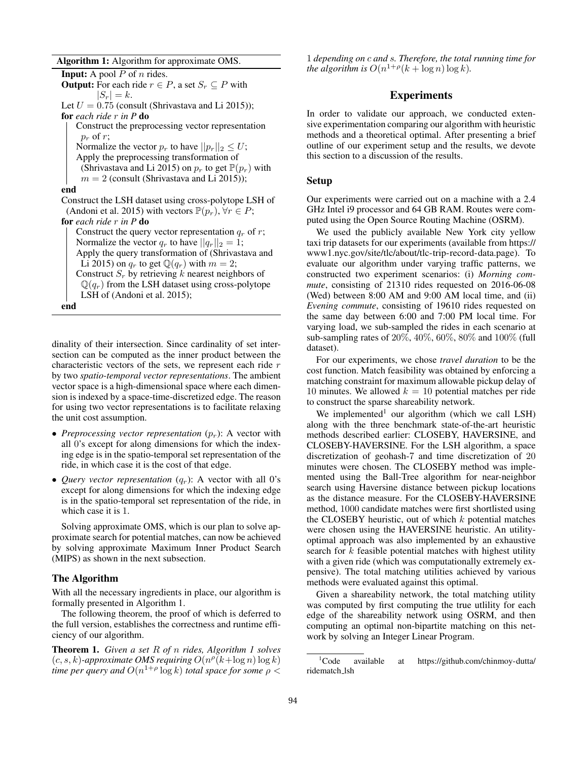Algorithm 1: Algorithm for approximate OMS.

**Input:** A pool  $P$  of  $n$  rides. **Output:** For each ride  $r \in P$ , a set  $S_r \subseteq P$  with  $|S_r| = k$ . Let  $U = 0.75$  (consult (Shrivastava and Li 2015)); for *each ride* r *in P* do Construct the preprocessing vector representation  $p_r$  of r; Normalize the vector  $p_r$  to have  $||p_r||_2 \leq U$ ; Apply the preprocessing transformation of (Shrivastava and Li 2015) on  $p_r$  to get  $\mathbb{P}(p_r)$  with  $m = 2$  (consult (Shrivastava and Li 2015)); end Construct the LSH dataset using cross-polytope LSH of (Andoni et al. 2015) with vectors  $\mathbb{P}(p_r)$ ,  $\forall r \in P$ ; for *each ride* r *in P* do Construct the query vector representation  $q_r$  of r; Normalize the vector  $q_r$  to have  $||q_r||_2 = 1$ ; Apply the query transformation of (Shrivastava and Li 2015) on  $q_r$  to get  $\mathbb{Q}(q_r)$  with  $m = 2$ ; Construct  $S_r$  by retrieving k nearest neighbors of  $\mathbb{Q}(q_r)$  from the LSH dataset using cross-polytope LSH of (Andoni et al. 2015); end

dinality of their intersection. Since cardinality of set intersection can be computed as the inner product between the characteristic vectors of the sets, we represent each ride  $r$ by two *spatio-temporal vector representations*. The ambient vector space is a high-dimensional space where each dimension is indexed by a space-time-discretized edge. The reason for using two vector representations is to facilitate relaxing the unit cost assumption.

- *Preprocessing vector representation*  $(p_r)$ : A vector with all 0's except for along dimensions for which the indexing edge is in the spatio-temporal set representation of the ride, in which case it is the cost of that edge.
- *Query vector representation*  $(q_r)$ : A vector with all 0's except for along dimensions for which the indexing edge is in the spatio-temporal set representation of the ride, in which case it is 1.

Solving approximate OMS, which is our plan to solve approximate search for potential matches, can now be achieved by solving approximate Maximum Inner Product Search (MIPS) as shown in the next subsection.

## The Algorithm

With all the necessary ingredients in place, our algorithm is formally presented in Algorithm 1.

The following theorem, the proof of which is deferred to the full version, establishes the correctness and runtime efficiency of our algorithm.

Theorem 1. *Given a set* R *of* n *rides, Algorithm 1 solves*  $(c, s, k)$ -approximate OMS requiring  $O(n^{\rho}(k + \log n) \log k)$ *time per query and*  $O(n^{1+\rho}\log k)$  *total space for some*  $\rho$  <

1 *depending on* c *and* s*. Therefore, the total running time for the algorithm is*  $O(n^{1+\rho}(k + \log n)\log k)$ *.* 

# Experiments

In order to validate our approach, we conducted extensive experimentation comparing our algorithm with heuristic methods and a theoretical optimal. After presenting a brief outline of our experiment setup and the results, we devote this section to a discussion of the results.

#### Setup

Our experiments were carried out on a machine with a 2.4 GHz Intel i9 processor and 64 GB RAM. Routes were computed using the Open Source Routing Machine (OSRM).

We used the publicly available New York city yellow taxi trip datasets for our experiments (available from https:// www1.nyc.gov/site/tlc/about/tlc-trip-record-data.page). To evaluate our algorithm under varying traffic patterns, we constructed two experiment scenarios: (i) *Morning commute*, consisting of 21310 rides requested on 2016-06-08 (Wed) between 8:00 AM and 9:00 AM local time, and (ii) *Evening commute*, consisting of 19610 rides requested on the same day between 6:00 and 7:00 PM local time. For varying load, we sub-sampled the rides in each scenario at sub-sampling rates of 20%, 40%, 60%, 80% and 100% (full dataset).

For our experiments, we chose *travel duration* to be the cost function. Match feasibility was obtained by enforcing a matching constraint for maximum allowable pickup delay of 10 minutes. We allowed  $k = 10$  potential matches per ride to construct the sparse shareability network.

We implemented<sup>1</sup> our algorithm (which we call LSH) along with the three benchmark state-of-the-art heuristic methods described earlier: CLOSEBY, HAVERSINE, and CLOSEBY-HAVERSINE. For the LSH algorithm, a space discretization of geohash-7 and time discretization of 20 minutes were chosen. The CLOSEBY method was implemented using the Ball-Tree algorithm for near-neighbor search using Haversine distance between pickup locations as the distance measure. For the CLOSEBY-HAVERSINE method, 1000 candidate matches were first shortlisted using the CLOSEBY heuristic, out of which  $k$  potential matches were chosen using the HAVERSINE heuristic. An utilityoptimal approach was also implemented by an exhaustive search for  $k$  feasible potential matches with highest utility with a given ride (which was computationally extremely expensive). The total matching utilities achieved by various methods were evaluated against this optimal.

Given a shareability network, the total matching utility was computed by first computing the true utlility for each edge of the shareability network using OSRM, and then computing an optimal non-bipartite matching on this network by solving an Integer Linear Program.

<sup>1</sup>Code available at https://github.com/chinmoy-dutta/ ridematch lsh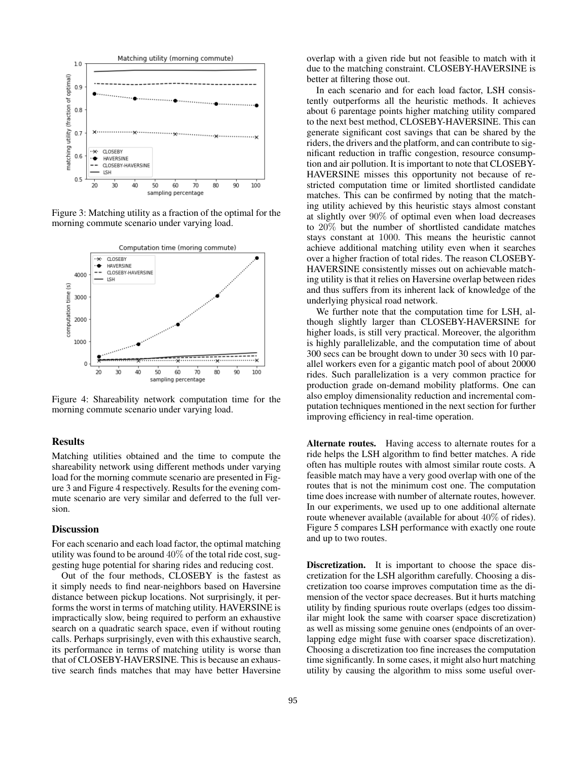

Figure 3: Matching utility as a fraction of the optimal for the morning commute scenario under varying load.



Figure 4: Shareability network computation time for the morning commute scenario under varying load.

# Results

Matching utilities obtained and the time to compute the shareability network using different methods under varying load for the morning commute scenario are presented in Figure 3 and Figure 4 respectively. Results for the evening commute scenario are very similar and deferred to the full version.

#### **Discussion**

For each scenario and each load factor, the optimal matching utility was found to be around  $40\%$  of the total ride cost, suggesting huge potential for sharing rides and reducing cost.

Out of the four methods, CLOSEBY is the fastest as it simply needs to find near-neighbors based on Haversine distance between pickup locations. Not surprisingly, it performs the worst in terms of matching utility. HAVERSINE is impractically slow, being required to perform an exhaustive search on a quadratic search space, even if without routing calls. Perhaps surprisingly, even with this exhaustive search, its performance in terms of matching utility is worse than that of CLOSEBY-HAVERSINE. This is because an exhaustive search finds matches that may have better Haversine

overlap with a given ride but not feasible to match with it due to the matching constraint. CLOSEBY-HAVERSINE is better at filtering those out.

In each scenario and for each load factor, LSH consistently outperforms all the heuristic methods. It achieves about 6 parentage points higher matching utility compared to the next best method, CLOSEBY-HAVERSINE. This can generate significant cost savings that can be shared by the riders, the drivers and the platform, and can contribute to significant reduction in traffic congestion, resource consumption and air pollution. It is important to note that CLOSEBY-HAVERSINE misses this opportunity not because of restricted computation time or limited shortlisted candidate matches. This can be confirmed by noting that the matching utility achieved by this heuristic stays almost constant at slightly over 90% of optimal even when load decreases to 20% but the number of shortlisted candidate matches stays constant at 1000. This means the heuristic cannot achieve additional matching utility even when it searches over a higher fraction of total rides. The reason CLOSEBY-HAVERSINE consistently misses out on achievable matching utility is that it relies on Haversine overlap between rides and thus suffers from its inherent lack of knowledge of the underlying physical road network.

We further note that the computation time for LSH, although slightly larger than CLOSEBY-HAVERSINE for higher loads, is still very practical. Moreover, the algorithm is highly parallelizable, and the computation time of about 300 secs can be brought down to under 30 secs with 10 parallel workers even for a gigantic match pool of about 20000 rides. Such parallelization is a very common practice for production grade on-demand mobility platforms. One can also employ dimensionality reduction and incremental computation techniques mentioned in the next section for further improving efficiency in real-time operation.

Alternate routes. Having access to alternate routes for a ride helps the LSH algorithm to find better matches. A ride often has multiple routes with almost similar route costs. A feasible match may have a very good overlap with one of the routes that is not the minimum cost one. The computation time does increase with number of alternate routes, however. In our experiments, we used up to one additional alternate route whenever available (available for about 40% of rides). Figure 5 compares LSH performance with exactly one route and up to two routes.

Discretization. It is important to choose the space discretization for the LSH algorithm carefully. Choosing a discretization too coarse improves computation time as the dimension of the vector space decreases. But it hurts matching utility by finding spurious route overlaps (edges too dissimilar might look the same with coarser space discretization) as well as missing some genuine ones (endpoints of an overlapping edge might fuse with coarser space discretization). Choosing a discretization too fine increases the computation time significantly. In some cases, it might also hurt matching utility by causing the algorithm to miss some useful over-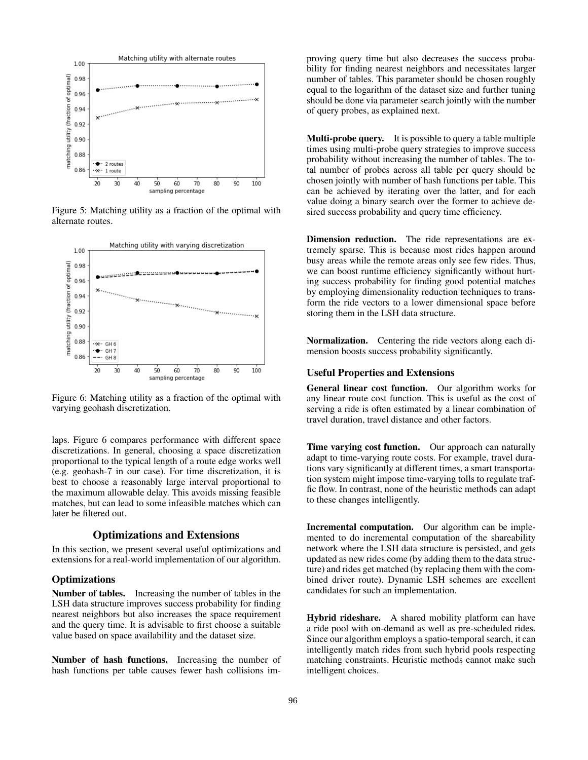

Figure 5: Matching utility as a fraction of the optimal with alternate routes.



Figure 6: Matching utility as a fraction of the optimal with varying geohash discretization.

laps. Figure 6 compares performance with different space discretizations. In general, choosing a space discretization proportional to the typical length of a route edge works well (e.g. geohash-7 in our case). For time discretization, it is best to choose a reasonably large interval proportional to the maximum allowable delay. This avoids missing feasible matches, but can lead to some infeasible matches which can later be filtered out.

## Optimizations and Extensions

In this section, we present several useful optimizations and extensions for a real-world implementation of our algorithm.

### **Optimizations**

Number of tables. Increasing the number of tables in the LSH data structure improves success probability for finding nearest neighbors but also increases the space requirement and the query time. It is advisable to first choose a suitable value based on space availability and the dataset size.

Number of hash functions. Increasing the number of hash functions per table causes fewer hash collisions improving query time but also decreases the success probability for finding nearest neighbors and necessitates larger number of tables. This parameter should be chosen roughly equal to the logarithm of the dataset size and further tuning should be done via parameter search jointly with the number of query probes, as explained next.

Multi-probe query. It is possible to query a table multiple times using multi-probe query strategies to improve success probability without increasing the number of tables. The total number of probes across all table per query should be chosen jointly with number of hash functions per table. This can be achieved by iterating over the latter, and for each value doing a binary search over the former to achieve desired success probability and query time efficiency.

Dimension reduction. The ride representations are extremely sparse. This is because most rides happen around busy areas while the remote areas only see few rides. Thus, we can boost runtime efficiency significantly without hurting success probability for finding good potential matches by employing dimensionality reduction techniques to transform the ride vectors to a lower dimensional space before storing them in the LSH data structure.

Normalization. Centering the ride vectors along each dimension boosts success probability significantly.

## Useful Properties and Extensions

General linear cost function. Our algorithm works for any linear route cost function. This is useful as the cost of serving a ride is often estimated by a linear combination of travel duration, travel distance and other factors.

Time varying cost function. Our approach can naturally adapt to time-varying route costs. For example, travel durations vary significantly at different times, a smart transportation system might impose time-varying tolls to regulate traffic flow. In contrast, none of the heuristic methods can adapt to these changes intelligently.

Incremental computation. Our algorithm can be implemented to do incremental computation of the shareability network where the LSH data structure is persisted, and gets updated as new rides come (by adding them to the data structure) and rides get matched (by replacing them with the combined driver route). Dynamic LSH schemes are excellent candidates for such an implementation.

Hybrid rideshare. A shared mobility platform can have a ride pool with on-demand as well as pre-scheduled rides. Since our algorithm employs a spatio-temporal search, it can intelligently match rides from such hybrid pools respecting matching constraints. Heuristic methods cannot make such intelligent choices.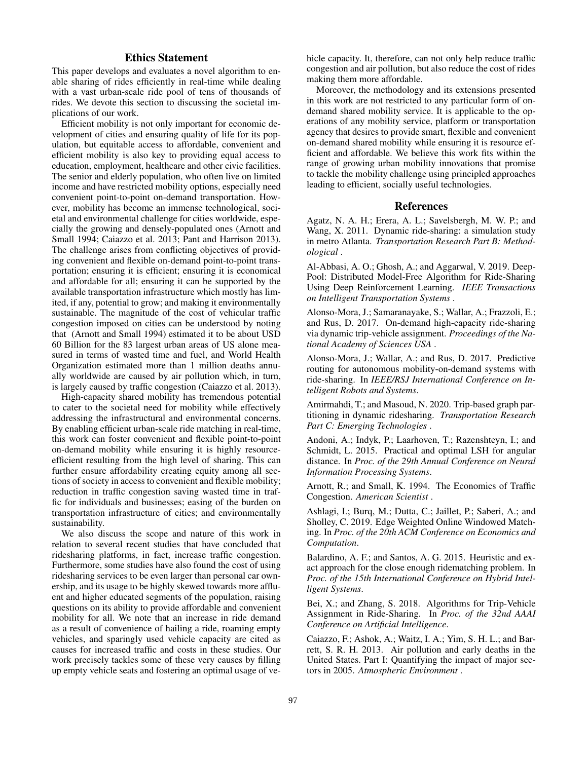# Ethics Statement

This paper develops and evaluates a novel algorithm to enable sharing of rides efficiently in real-time while dealing with a vast urban-scale ride pool of tens of thousands of rides. We devote this section to discussing the societal implications of our work.

Efficient mobility is not only important for economic development of cities and ensuring quality of life for its population, but equitable access to affordable, convenient and efficient mobility is also key to providing equal access to education, employment, healthcare and other civic facilities. The senior and elderly population, who often live on limited income and have restricted mobility options, especially need convenient point-to-point on-demand transportation. However, mobility has become an immense technological, societal and environmental challenge for cities worldwide, especially the growing and densely-populated ones (Arnott and Small 1994; Caiazzo et al. 2013; Pant and Harrison 2013). The challenge arises from conflicting objectives of providing convenient and flexible on-demand point-to-point transportation; ensuring it is efficient; ensuring it is economical and affordable for all; ensuring it can be supported by the available transportation infrastructure which mostly has limited, if any, potential to grow; and making it environmentally sustainable. The magnitude of the cost of vehicular traffic congestion imposed on cities can be understood by noting that (Arnott and Small 1994) estimated it to be about USD 60 Billion for the 83 largest urban areas of US alone measured in terms of wasted time and fuel, and World Health Organization estimated more than 1 million deaths annually worldwide are caused by air pollution which, in turn, is largely caused by traffic congestion (Caiazzo et al. 2013).

High-capacity shared mobility has tremendous potential to cater to the societal need for mobility while effectively addressing the infrastructural and environmental concerns. By enabling efficient urban-scale ride matching in real-time, this work can foster convenient and flexible point-to-point on-demand mobility while ensuring it is highly resourceefficient resulting from the high level of sharing. This can further ensure affordability creating equity among all sections of society in access to convenient and flexible mobility; reduction in traffic congestion saving wasted time in traffic for individuals and businesses; easing of the burden on transportation infrastructure of cities; and environmentally sustainability.

We also discuss the scope and nature of this work in relation to several recent studies that have concluded that ridesharing platforms, in fact, increase traffic congestion. Furthermore, some studies have also found the cost of using ridesharing services to be even larger than personal car ownership, and its usage to be highly skewed towards more affluent and higher educated segments of the population, raising questions on its ability to provide affordable and convenient mobility for all. We note that an increase in ride demand as a result of convenience of hailing a ride, roaming empty vehicles, and sparingly used vehicle capacity are cited as causes for increased traffic and costs in these studies. Our work precisely tackles some of these very causes by filling up empty vehicle seats and fostering an optimal usage of vehicle capacity. It, therefore, can not only help reduce traffic congestion and air pollution, but also reduce the cost of rides making them more affordable.

Moreover, the methodology and its extensions presented in this work are not restricted to any particular form of ondemand shared mobility service. It is applicable to the operations of any mobility service, platform or transportation agency that desires to provide smart, flexible and convenient on-demand shared mobility while ensuring it is resource efficient and affordable. We believe this work fits within the range of growing urban mobility innovations that promise to tackle the mobility challenge using principled approaches leading to efficient, socially useful technologies.

## References

Agatz, N. A. H.; Erera, A. L.; Savelsbergh, M. W. P.; and Wang, X. 2011. Dynamic ride-sharing: a simulation study in metro Atlanta. *Transportation Research Part B: Methodological* .

Al-Abbasi, A. O.; Ghosh, A.; and Aggarwal, V. 2019. Deep-Pool: Distributed Model-Free Algorithm for Ride-Sharing Using Deep Reinforcement Learning. *IEEE Transactions on Intelligent Transportation Systems* .

Alonso-Mora, J.; Samaranayake, S.; Wallar, A.; Frazzoli, E.; and Rus, D. 2017. On-demand high-capacity ride-sharing via dynamic trip-vehicle assignment. *Proceedings of the National Academy of Sciences USA* .

Alonso-Mora, J.; Wallar, A.; and Rus, D. 2017. Predictive routing for autonomous mobility-on-demand systems with ride-sharing. In *IEEE/RSJ International Conference on Intelligent Robots and Systems*.

Amirmahdi, T.; and Masoud, N. 2020. Trip-based graph partitioning in dynamic ridesharing. *Transportation Research Part C: Emerging Technologies* .

Andoni, A.; Indyk, P.; Laarhoven, T.; Razenshteyn, I.; and Schmidt, L. 2015. Practical and optimal LSH for angular distance. In *Proc. of the 29th Annual Conference on Neural Information Processing Systems*.

Arnott, R.; and Small, K. 1994. The Economics of Traffic Congestion. *American Scientist* .

Ashlagi, I.; Burq, M.; Dutta, C.; Jaillet, P.; Saberi, A.; and Sholley, C. 2019. Edge Weighted Online Windowed Matching. In *Proc. of the 20th ACM Conference on Economics and Computation*.

Balardino, A. F.; and Santos, A. G. 2015. Heuristic and exact approach for the close enough ridematching problem. In *Proc. of the 15th International Conference on Hybrid Intelligent Systems*.

Bei, X.; and Zhang, S. 2018. Algorithms for Trip-Vehicle Assignment in Ride-Sharing. In *Proc. of the 32nd AAAI Conference on Artificial Intelligence*.

Caiazzo, F.; Ashok, A.; Waitz, I. A.; Yim, S. H. L.; and Barrett, S. R. H. 2013. Air pollution and early deaths in the United States. Part I: Quantifying the impact of major sectors in 2005. *Atmospheric Environment* .